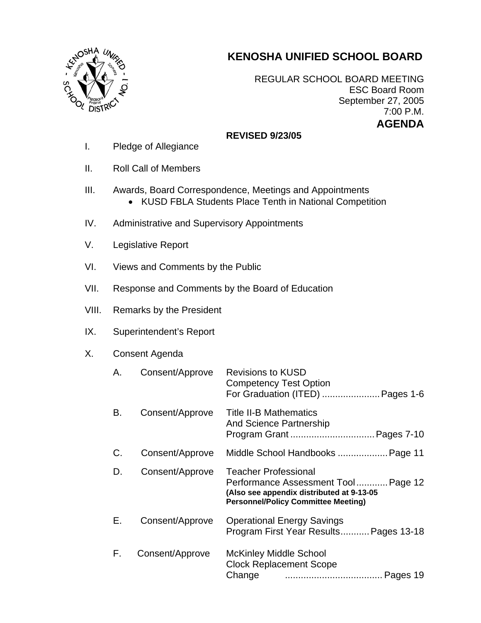# **KENOSHA UNIFIED SCHOOL BOARD**



REGULAR SCHOOL BOARD MEETING ESC Board Room September 27, 2005 7:00 P.M. **AGENDA** 

## **REVISED 9/23/05**

- I. Pledge of Allegiance
- II. Roll Call of Members
- III. Awards, Board Correspondence, Meetings and Appointments
	- KUSD FBLA Students Place Tenth in National Competition
- IV. Administrative and Supervisory Appointments
- V. Legislative Report
- VI. Views and Comments by the Public
- VII. Response and Comments by the Board of Education
- VIII. Remarks by the President
- IX. Superintendent's Report

## X. Consent Agenda

| А. | Consent/Approve | <b>Revisions to KUSD</b><br><b>Competency Test Option</b><br>For Graduation (ITED)  Pages 1-6                                                                 |
|----|-----------------|---------------------------------------------------------------------------------------------------------------------------------------------------------------|
| В. | Consent/Approve | <b>Title II-B Mathematics</b><br><b>And Science Partnership</b>                                                                                               |
| C. | Consent/Approve | Middle School Handbooks  Page 11                                                                                                                              |
| D. | Consent/Approve | <b>Teacher Professional</b><br>Performance Assessment Tool Page 12<br>(Also see appendix distributed at 9-13-05<br><b>Personnel/Policy Committee Meeting)</b> |
| Е. | Consent/Approve | <b>Operational Energy Savings</b><br>Program First Year Results Pages 13-18                                                                                   |
| F. | Consent/Approve | McKinley Middle School<br><b>Clock Replacement Scope</b>                                                                                                      |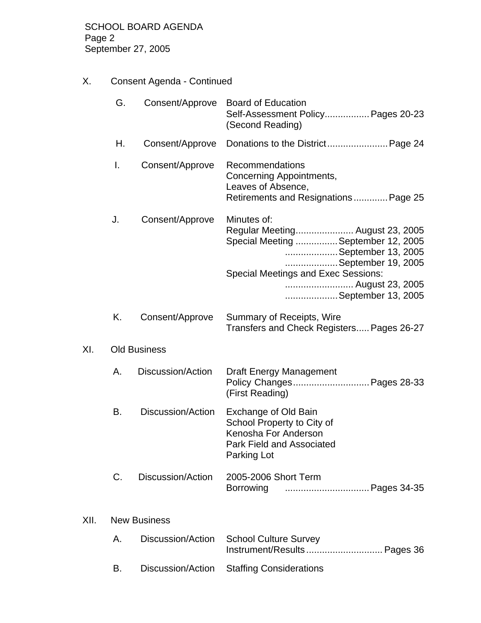X. Consent Agenda - Continued

|      | G. | Consent/Approve     | <b>Board of Education</b><br>Self-Assessment Policy Pages 20-23<br>(Second Reading)                                                                                                                                      |
|------|----|---------------------|--------------------------------------------------------------------------------------------------------------------------------------------------------------------------------------------------------------------------|
|      | Η. | Consent/Approve     |                                                                                                                                                                                                                          |
|      | I. | Consent/Approve     | Recommendations<br>Concerning Appointments,<br>Leaves of Absence,<br>Retirements and Resignations Page 25                                                                                                                |
|      | J. | Consent/Approve     | Minutes of:<br>Regular Meeting August 23, 2005<br>Special Meeting  September 12, 2005<br>September 13, 2005<br>September 19, 2005<br><b>Special Meetings and Exec Sessions:</b><br>August 23, 2005<br>September 13, 2005 |
|      | Κ. | Consent/Approve     | <b>Summary of Receipts, Wire</b><br>Transfers and Check Registers Pages 26-27                                                                                                                                            |
| XI.  |    | <b>Old Business</b> |                                                                                                                                                                                                                          |
|      | Α. | Discussion/Action   | <b>Draft Energy Management</b><br>Policy Changes Pages 28-33<br>(First Reading)                                                                                                                                          |
|      | В. | Discussion/Action   | Exchange of Old Bain<br>School Property to City of<br>Kenosha For Anderson<br><b>Park Field and Associated</b><br>Parking Lot                                                                                            |
|      | C. | Discussion/Action   | 2005-2006 Short Term                                                                                                                                                                                                     |
| XII. |    | <b>New Business</b> |                                                                                                                                                                                                                          |
|      | Α. | Discussion/Action   | <b>School Culture Survey</b><br>Instrument/Results Pages 36                                                                                                                                                              |

B. Discussion/Action Staffing Considerations